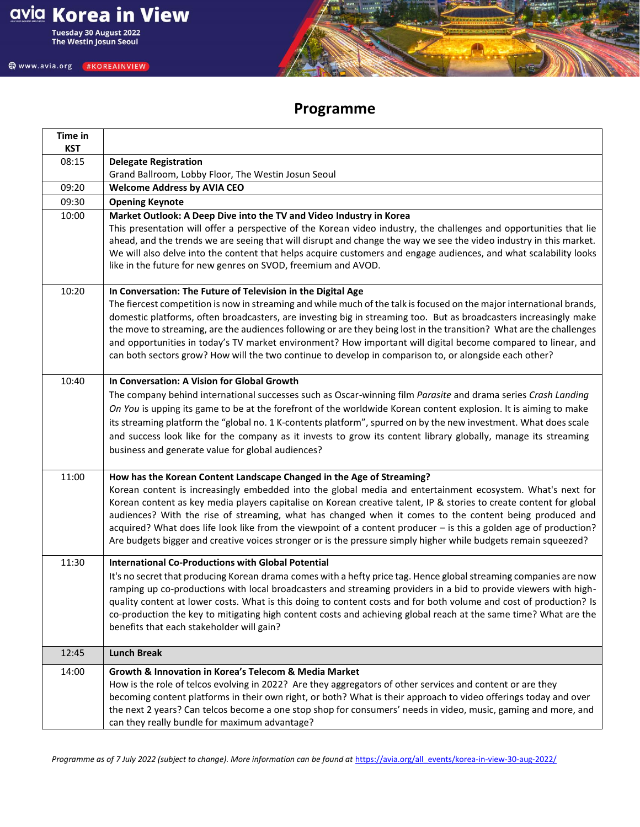avia Korea in View

Tuesday 30 August 2022<br>The Westin Josun Seoul

Www.avia.org (#KOREAINVIEW)

## **Programme**

**Section** 

| Time in<br><b>KST</b> |                                                                                                                                                                                                                                                                                                                                                                                                                                                                                                                                                                                                                                                               |
|-----------------------|---------------------------------------------------------------------------------------------------------------------------------------------------------------------------------------------------------------------------------------------------------------------------------------------------------------------------------------------------------------------------------------------------------------------------------------------------------------------------------------------------------------------------------------------------------------------------------------------------------------------------------------------------------------|
| 08:15                 | <b>Delegate Registration</b>                                                                                                                                                                                                                                                                                                                                                                                                                                                                                                                                                                                                                                  |
|                       | Grand Ballroom, Lobby Floor, The Westin Josun Seoul                                                                                                                                                                                                                                                                                                                                                                                                                                                                                                                                                                                                           |
| 09:20                 | <b>Welcome Address by AVIA CEO</b>                                                                                                                                                                                                                                                                                                                                                                                                                                                                                                                                                                                                                            |
| 09:30                 | <b>Opening Keynote</b>                                                                                                                                                                                                                                                                                                                                                                                                                                                                                                                                                                                                                                        |
| 10:00                 | Market Outlook: A Deep Dive into the TV and Video Industry in Korea                                                                                                                                                                                                                                                                                                                                                                                                                                                                                                                                                                                           |
|                       | This presentation will offer a perspective of the Korean video industry, the challenges and opportunities that lie<br>ahead, and the trends we are seeing that will disrupt and change the way we see the video industry in this market.<br>We will also delve into the content that helps acquire customers and engage audiences, and what scalability looks<br>like in the future for new genres on SVOD, freemium and AVOD.                                                                                                                                                                                                                                |
| 10:20                 | In Conversation: The Future of Television in the Digital Age<br>The fiercest competition is now in streaming and while much of the talk is focused on the major international brands,<br>domestic platforms, often broadcasters, are investing big in streaming too. But as broadcasters increasingly make<br>the move to streaming, are the audiences following or are they being lost in the transition? What are the challenges<br>and opportunities in today's TV market environment? How important will digital become compared to linear, and<br>can both sectors grow? How will the two continue to develop in comparison to, or alongside each other? |
| 10:40                 | In Conversation: A Vision for Global Growth                                                                                                                                                                                                                                                                                                                                                                                                                                                                                                                                                                                                                   |
|                       | The company behind international successes such as Oscar-winning film Parasite and drama series Crash Landing<br>On You is upping its game to be at the forefront of the worldwide Korean content explosion. It is aiming to make<br>its streaming platform the "global no. 1 K-contents platform", spurred on by the new investment. What does scale<br>and success look like for the company as it invests to grow its content library globally, manage its streaming<br>business and generate value for global audiences?                                                                                                                                  |
| 11:00                 | How has the Korean Content Landscape Changed in the Age of Streaming?<br>Korean content is increasingly embedded into the global media and entertainment ecosystem. What's next for<br>Korean content as key media players capitalise on Korean creative talent, IP & stories to create content for global<br>audiences? With the rise of streaming, what has changed when it comes to the content being produced and<br>acquired? What does life look like from the viewpoint of a content producer - is this a golden age of production?<br>Are budgets bigger and creative voices stronger or is the pressure simply higher while budgets remain squeezed? |
| 11:30                 | <b>International Co-Productions with Global Potential</b><br>It's no secret that producing Korean drama comes with a hefty price tag. Hence global streaming companies are now<br>ramping up co-productions with local broadcasters and streaming providers in a bid to provide viewers with high-<br>quality content at lower costs. What is this doing to content costs and for both volume and cost of production? Is<br>co-production the key to mitigating high content costs and achieving global reach at the same time? What are the<br>benefits that each stakeholder will gain?                                                                     |
| 12:45                 | <b>Lunch Break</b>                                                                                                                                                                                                                                                                                                                                                                                                                                                                                                                                                                                                                                            |
| 14:00                 | Growth & Innovation in Korea's Telecom & Media Market<br>How is the role of telcos evolving in 2022? Are they aggregators of other services and content or are they<br>becoming content platforms in their own right, or both? What is their approach to video offerings today and over<br>the next 2 years? Can telcos become a one stop shop for consumers' needs in video, music, gaming and more, and<br>can they really bundle for maximum advantage?                                                                                                                                                                                                    |

*Programme as of 7 July 2022 (subject to change). More information can be found at* [https://avia.org/all\\_events/korea-in-view-30-aug-2022/](https://avia.org/all_events/korea-in-view-30-aug-2022/)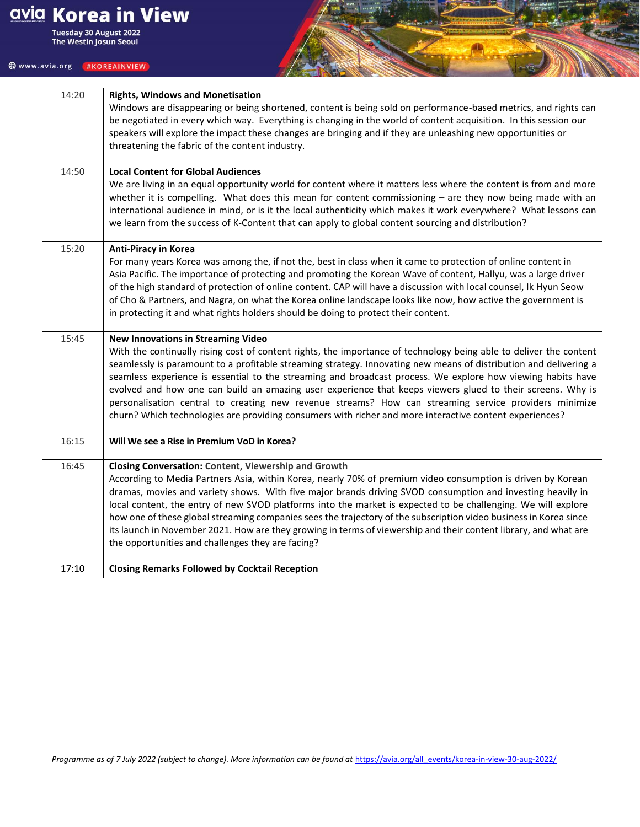## avia Korea in View

Tuesday 30 August 2022<br>The Westin Josun Seoul





| 14:20 | <b>Rights, Windows and Monetisation</b><br>Windows are disappearing or being shortened, content is being sold on performance-based metrics, and rights can                                                                                                                                                                                                                                                                                                                                                                                                                                                                                                                                                                            |
|-------|---------------------------------------------------------------------------------------------------------------------------------------------------------------------------------------------------------------------------------------------------------------------------------------------------------------------------------------------------------------------------------------------------------------------------------------------------------------------------------------------------------------------------------------------------------------------------------------------------------------------------------------------------------------------------------------------------------------------------------------|
|       | be negotiated in every which way. Everything is changing in the world of content acquisition. In this session our<br>speakers will explore the impact these changes are bringing and if they are unleashing new opportunities or<br>threatening the fabric of the content industry.                                                                                                                                                                                                                                                                                                                                                                                                                                                   |
| 14:50 | <b>Local Content for Global Audiences</b><br>We are living in an equal opportunity world for content where it matters less where the content is from and more<br>whether it is compelling. What does this mean for content commissioning $-$ are they now being made with an<br>international audience in mind, or is it the local authenticity which makes it work everywhere? What lessons can<br>we learn from the success of K-Content that can apply to global content sourcing and distribution?                                                                                                                                                                                                                                |
| 15:20 | <b>Anti-Piracy in Korea</b><br>For many years Korea was among the, if not the, best in class when it came to protection of online content in<br>Asia Pacific. The importance of protecting and promoting the Korean Wave of content, Hallyu, was a large driver<br>of the high standard of protection of online content. CAP will have a discussion with local counsel, Ik Hyun Seow<br>of Cho & Partners, and Nagra, on what the Korea online landscape looks like now, how active the government is<br>in protecting it and what rights holders should be doing to protect their content.                                                                                                                                           |
| 15:45 | <b>New Innovations in Streaming Video</b><br>With the continually rising cost of content rights, the importance of technology being able to deliver the content<br>seamlessly is paramount to a profitable streaming strategy. Innovating new means of distribution and delivering a<br>seamless experience is essential to the streaming and broadcast process. We explore how viewing habits have<br>evolved and how one can build an amazing user experience that keeps viewers glued to their screens. Why is<br>personalisation central to creating new revenue streams? How can streaming service providers minimize<br>churn? Which technologies are providing consumers with richer and more interactive content experiences? |
| 16:15 | Will We see a Rise in Premium VoD in Korea?                                                                                                                                                                                                                                                                                                                                                                                                                                                                                                                                                                                                                                                                                           |
| 16:45 | Closing Conversation: Content, Viewership and Growth<br>According to Media Partners Asia, within Korea, nearly 70% of premium video consumption is driven by Korean<br>dramas, movies and variety shows. With five major brands driving SVOD consumption and investing heavily in<br>local content, the entry of new SVOD platforms into the market is expected to be challenging. We will explore<br>how one of these global streaming companies sees the trajectory of the subscription video business in Korea since<br>its launch in November 2021. How are they growing in terms of viewership and their content library, and what are<br>the opportunities and challenges they are facing?                                      |
| 17:10 | <b>Closing Remarks Followed by Cocktail Reception</b>                                                                                                                                                                                                                                                                                                                                                                                                                                                                                                                                                                                                                                                                                 |

Programme as of 7 July 2022 (subject to change). More information can be found at [https://avia.org/all\\_events/korea-in-view-30-aug-2022/](https://avia.org/all_events/korea-in-view-30-aug-2022/)